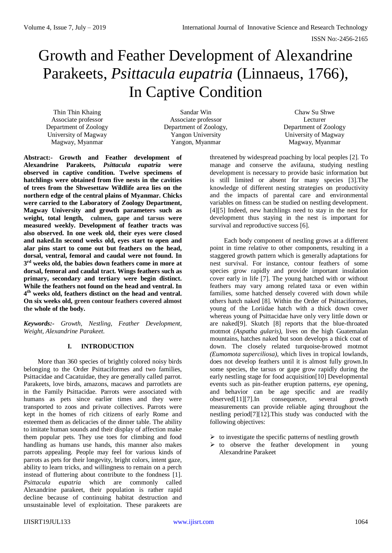# Growth and Feather Development of Alexandrine Parakeets, *Psittacula eupatria* (Linnaeus, 1766), In Captive Condition

Thin Thin Khaing Associate professor Department of Zoology University of Magway Magway, Myanmar

Sandar Win Associate professor Department of Zoology, Yangon University Yangon, Myanmar

Chaw Su Shwe Lecturer Department of Zoology University of Magway Magway, Myanmar

**Abstract:- Growth and Feather development of Alexandrine Parakeets,** *Psittacula eupatria* **were observed in captive condition. Twelve specimens of hatchlings were obtained from five nests in the cavities of trees from the Shwesettaw Wildlife area lies on the northern edge of the central plains of Myanmar. Chicks were carried to the Laboratory of Zoology Department, Magway University and growth parameters such as weight, total length, culmen, gape and tarsus were measured weekly. Development of feather tracts was also observed. In one week old, their eyes were closed and naked.In second weeks old, eyes start to open and alar pins start to come out but feathers on the head, dorsal, ventral, femoral and caudal were not found. In 3 rd weeks old, the babies down feathers come in more at dorsal, femoral and caudal tract. Wings feathers such as primary, secondary and tertiary were begin distinct. While the feathers not found on the head and ventral. In 4 th weeks old, feathers distinct on the head and ventral. On six weeks old, green contour feathers covered almost the whole of the body.**

*Keywords:- Growth, Nestling, Feather Development, Weight, Alexandrine Parakeet.*

## **I. INTRODUCTION**

More than 360 species of brightly colored noisy birds belonging to the Order Psittaciformes and two families, Psittacidae and Cacatuidae, they are generally called parrot. Parakeets, love birds, amazons, macaws and parrotlets are in the Family Psittacidae. Parrots were associated with humans as pets since earlier times and they were transported to zoos and private collectives. Parrots were kept in the homes of rich citizens of early Rome and esteemed them as delicacies of the dinner table. The ability to imitate human sounds and their display of affection make them popular pets. They use toes for climbing and food handling as humans use hands, this manner also makes parrots appealing. People may feel for various kinds of parrots as pets for their longevity, bright colors, intent gaze, ability to learn tricks, and willingness to remain on a perch instead of fluttering about contribute to the fondness [1]. *Psittacula eupatria* which are commonly called Alexandrine parakeet, their population is rather rapid decline because of continuing habitat destruction and unsustainable level of exploitation. These parakeets are

threatened by widespread poaching by local peoples [2]. To manage and conserve the avifauna, studying nestling development is necessary to provide basic information but is still limited or absent for many species [3].The knowledge of different nesting strategies on productivity and the impacts of parental care and environmental variables on fitness can be studied on nestling development. [4][5] Indeed, new hatchlings need to stay in the nest for development thus staying in the nest is important for survival and reproductive success [6].

Each body component of nestling grows at a different point in time relative to other components, resulting in a staggered growth pattern which is generally adaptations for nest survival. For instance, contour feathers of some species grow rapidly and provide important insulation cover early in life [7]. The young hatched with or without feathers may vary among related taxa or even within families, some hatched densely covered with down while others hatch naked [8]. Within the Order of Psittaciformes, young of the Loriidae hatch with a thick down cover whereas young of Psittacidae have only very little down or are naked[9]. Skutch [8] reports that the blue-throated motmot *(Aspatha gularis)*, lives on the high Guatemalan mountains, hatches naked but soon develops a thick coat of down. The closely related turquoise-browed motmot *(Eumomota superciliosa)*, which lives in tropical lowlands, does not develop feathers until it is almost fully grown.In some species, the tarsus or gape grow rapidly during the early nestling stage for food acquisition[10] Developmental events such as pin-feather eruption patterns, eye opening, and behavior can be age specific and are readily observed[11][7].In consequence, several growth measurements can provide reliable aging throughout the nestling period[7][12].This study was conducted with the following objectives:

- $\triangleright$  to investigate the specific patterns of nestling growth
- $\triangleright$  to observe the feather development in young Alexandrine Parakeet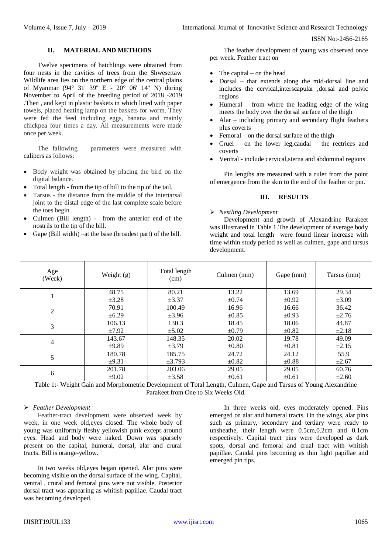## **II. MATERIAL AND METHODS**

Twelve specimens of hatchlings were obtained from four nests in the cavities of trees from the Shwesettaw Wildlife area lies on the northern edge of the central plains of Myanmar (94° 31' 39'' E - 20° 06' 14'' N) during November to April of the breeding period of 2018 -2019 .Then , and kept in plastic baskets in which lined with paper towels, placed heating lamp on the baskets for worm. They were fed the feed including eggs, banana and mainly chickpea four times a day. All measurements were made once per week.

The fallowing parameters were measured with calipers as follows:

- Body weight was obtained by placing the bird on the digital balance.
- Total length from the tip of bill to the tip of the tail.
- Tarsus the distance from the middle of the intertarsal joint to the distal edge of the last complete scale before the toes begin
- Culmen (Bill length) from the anterior end of the nostrils to the tip of the bill.
- Gape (Bill width) –at the base (broadest part) of the bill.

The feather development of young was observed once per week. Feather tract on

- The capital on the head
- Dorsal that extends along the mid-dorsal line and includes the cervical,interscapular ,dorsal and pelvic regions
- $\bullet$  Humeral from where the leading edge of the wing meets the body over the dorsal surface of the thigh
- Alar including primary and secondary flight feathers plus coverts
- Femoral on the dorsal surface of the thigh
- Cruel on the lower leg,caudal the rectrices and coverts
- Ventral include cervical,sterna and abdominal regions

Pin lengths are measured with a ruler from the point of emergence from the skin to the end of the feather or pin.

## **III. RESULTS**

## *Nestling Development*

Development and growth of Alexandrine Parakeet was illustrated in Table 1.The development of average body weight and total length were found linear increase with time within study period as well as culmen, gape and tarsus development.

| Age<br>(Week)  | Weight $(g)$ | Total length<br>(cm) | Culmen (mm) | Gape (mm)  | Tarsus (mm) |
|----------------|--------------|----------------------|-------------|------------|-------------|
|                | 48.75        | 80.21                | 13.22       | 13.69      | 29.34       |
|                | $\pm 3.28$   | $\pm 3.37$           | $\pm 0.74$  | $\pm 0.92$ | $\pm 3.09$  |
| $\overline{2}$ | 70.91        | 100.49               | 16.96       | 16.66      | 36.42       |
|                | $\pm 6.29$   | $\pm 3.96$           | $\pm 0.85$  | $\pm 0.93$ | $\pm 2.76$  |
| 3              | 106.13       | 130.3                | 18.45       | 18.06      | 44.87       |
|                | ±7.92        | $\pm 5.02$           | $\pm 0.79$  | $\pm 0.82$ | $\pm 2.18$  |
| 4              | 143.67       | 148.35               | 20.02       | 19.78      | 49.09       |
|                | $\pm 9.89$   | $\pm 3.79$           | $\pm 0.80$  | $\pm 0.81$ | $\pm 2.15$  |
| 5              | 180.78       | 185.75               | 24.72       | 24.12      | 55.9        |
|                | $\pm 9.31$   | $\pm 3.793$          | $\pm 0.82$  | $\pm 0.88$ | $\pm 2.67$  |
| 6              | 201.78       | 203.06               | 29.05       | 29.05      | 60.76       |
|                | $\pm 9.02$   | $\pm 3.58$           | $\pm 0.61$  | $\pm 0.61$ | $\pm 2.60$  |

Table 1:- Weight Gain and Morphometric Development of Total Length, Culmen, Gape and Tarsus of Young Alexandrine Parakeet from One to Six Weeks Old.

## *Feather Development*

Feather-tract development were observed week by week, in one week old,eyes closed. The whole body of young was uniformly fleshy yellowish pink except around eyes. Head and body were naked. Down was sparsely present on the capital, humeral, dorsal, alar and crural tracts. Bill is orange-yellow.

In two weeks old,eyes began opened. Alar pins were becoming visible on the dorsal surface of the wing. Capital, ventral , crural and femoral pins were not visible. Posterior dorsal tract was appearing as whitish papillae. Caudal tract was becoming developed.

In three weeks old, eyes moderately opened. Pins emerged on alar and humeral tracts. On the wings, alar pins such as primary, secondary and tertiary were ready to unsheathe, their length were 0.5cm,0.2cm and 0.1cm respectively. Capital tract pins were developed as dark spots, dorsal and femoral and crual tract with whitish papillae. Caudal pins becoming as thin light papillae and emerged pin tips.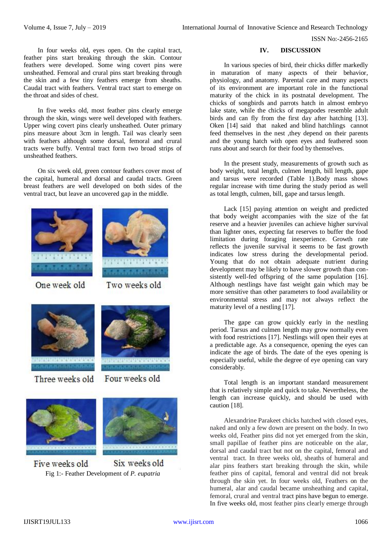In four weeks old, eyes open. On the capital tract, feather pins start breaking through the skin. Contour feathers were developed. Some wing covert pins were unsheathed. Femoral and crural pins start breaking through the skin and a few tiny feathers emerge from sheaths. Caudal tract with feathers. Ventral tract start to emerge on the throat and sides of chest.

In five weeks old, most feather pins clearly emerge through the skin, wings were well developed with feathers. Upper wing covert pins clearly unsheathed. Outer primary pins measure about 3cm in length. Tail was clearly seen with feathers although some dorsal, femoral and crural tracts were buffy. Ventral tract form two broad strips of unsheathed feathers.

On six week old, green contour feathers cover most of the capital, humeral and dorsal and caudal tracts. Green breast feathers are well developed on both sides of the ventral tract, but leave an uncovered gap in the middle.





One week old

Two weeks old

Four weeks old



Three weeks old



Six weeks old Five weeks old Fig 1:- Feather Development of *P. eupatria*

### **IV. DISCUSSION**

In various species of bird, their chicks differ markedly in maturation of many aspects of their behavior, physiology, and anatomy. Parental care and many aspects of its environment are important role in the functional maturity of the chick in its postnatal development. The chicks of songbirds and parrots hatch in almost embryo lake state, while the chicks of megapodes resemble adult birds and can fly from the first day after hatching [13]. Oken [14] said that naked and blind hatchlings cannot feed themselves in the nest ,they depend on their parents and the young hatch with open eyes and feathered soon runs about and search for their food by themselves.

In the present study, measurements of growth such as body weight, total length, culmen length, bill length, gape and tarsus were recorded (Table 1).Body mass shows regular increase with time during the study period as well as total length, culmen, bill, gape and tarsus length.

Lack [15] paying attention on weight and predicted that body weight accompanies with the size of the fat reserve and a heavier juveniles can achieve higher survival than lighter ones, expecting fat reserves to buffer the food limitation during foraging inexperience. Growth rate reflects the juvenile survival it seems to be fast growth indicates low stress during the developmental period. Young that do not obtain adequate nutrient during development may be likely to have slower growth than consistently well-fed offspring of the same population [16]. Although nestlings have fast weight gain which may be more sensitive than other parameters to food availability or environmental stress and may not always reflect the maturity level of a nestling [17].

The gape can grow quickly early in the nestling period. Tarsus and culmen length may grow normally even with food restrictions [17]. Nestlings will open their eyes at a predictable age. As a consequence, opening the eyes can indicate the age of birds. The date of the eyes opening is especially useful, while the degree of eye opening can vary considerably.

Total length is an important standard measurement that is relatively simple and quick to take. Nevertheless, the length can increase quickly, and should be used with caution [18].

Alexandrine Parakeet chicks hatched with closed eyes, naked and only a few down are present on the body. In two weeks old, Feather pins did not yet emerged from the skin, small papillae of feather pins are noticeable on the alar, dorsal and caudal tract but not on the capital, femoral and ventral tract. In three weeks old, sheaths of humeral and alar pins feathers start breaking through the skin, while feather pins of capital, femoral and ventral did not break through the skin yet. In four weeks old, Feathers on the humeral, alar and caudal became unsheathing and capital, femoral, crural and ventral tract pins have begun to emerge. In five weeks old, most feather pins clearly emerge through